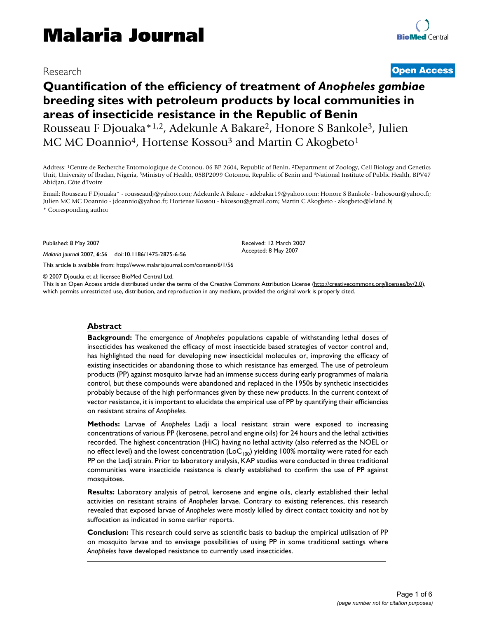# Research **[Open Access](http://www.biomedcentral.com/info/about/charter/)**

# **Quantification of the efficiency of treatment of** *Anopheles gambiae*  **breeding sites with petroleum products by local communities in areas of insecticide resistance in the Republic of Benin** Rousseau F Djouaka\*1,2, Adekunle A Bakare2, Honore S Bankole3, Julien MC MC Doannio<sup>4</sup>, Hortense Kossou<sup>3</sup> and Martin C Akogbeto<sup>1</sup>

Address: 1Centre de Recherche Entomologique de Cotonou, 06 BP 2604, Republic of Benin, 2Department of Zoology, Cell Biology and Genetics Unit, University of Ibadan, Nigeria, 3Ministry of Health, 05BP2099 Cotonou, Republic of Benin and 4National Institute of Public Health, BPV47 Abidjan, Côte d'Ivoire

Email: Rousseau F Djouaka\* - rousseaudj@yahoo.com; Adekunle A Bakare - adebakar19@yahoo.com; Honore S Bankole - bahosour@yahoo.fr; Julien MC MC Doannio - jdoannio@yahoo.fr; Hortense Kossou - hkossou@gmail.com; Martin C Akogbeto - akogbeto@leland.bj \* Corresponding author

> Received: 12 March 2007 Accepted: 8 May 2007

Published: 8 May 2007

*Malaria Journal* 2007, **6**:56 doi:10.1186/1475-2875-6-56

[This article is available from: http://www.malariajournal.com/content/6/1/56](http://www.malariajournal.com/content/6/1/56)

© 2007 Djouaka et al; licensee BioMed Central Ltd.

This is an Open Access article distributed under the terms of the Creative Commons Attribution License [\(http://creativecommons.org/licenses/by/2.0\)](http://creativecommons.org/licenses/by/2.0), which permits unrestricted use, distribution, and reproduction in any medium, provided the original work is properly cited.

#### **Abstract**

**Background:** The emergence of *Anopheles* populations capable of withstanding lethal doses of insecticides has weakened the efficacy of most insecticide based strategies of vector control and, has highlighted the need for developing new insecticidal molecules or, improving the efficacy of existing insecticides or abandoning those to which resistance has emerged. The use of petroleum products (PP) against mosquito larvae had an immense success during early programmes of malaria control, but these compounds were abandoned and replaced in the 1950s by synthetic insecticides probably because of the high performances given by these new products. In the current context of vector resistance, it is important to elucidate the empirical use of PP by quantifying their efficiencies on resistant strains of *Anopheles*.

**Methods:** Larvae of *Anopheles* Ladji a local resistant strain were exposed to increasing concentrations of various PP (kerosene, petrol and engine oils) for 24 hours and the lethal activities recorded. The highest concentration (HiC) having no lethal activity (also referred as the NOEL or no effect level) and the lowest concentration ( $\text{LoC}_{100}$ ) yielding 100% mortality were rated for each PP on the Ladji strain. Prior to laboratory analysis, KAP studies were conducted in three traditional communities were insecticide resistance is clearly established to confirm the use of PP against mosquitoes.

**Results:** Laboratory analysis of petrol, kerosene and engine oils, clearly established their lethal activities on resistant strains of *Anopheles* larvae. Contrary to existing references, this research revealed that exposed larvae of *Anopheles* were mostly killed by direct contact toxicity and not by suffocation as indicated in some earlier reports.

**Conclusion:** This research could serve as scientific basis to backup the empirical utilisation of PP on mosquito larvae and to envisage possibilities of using PP in some traditional settings where *Anopheles* have developed resistance to currently used insecticides.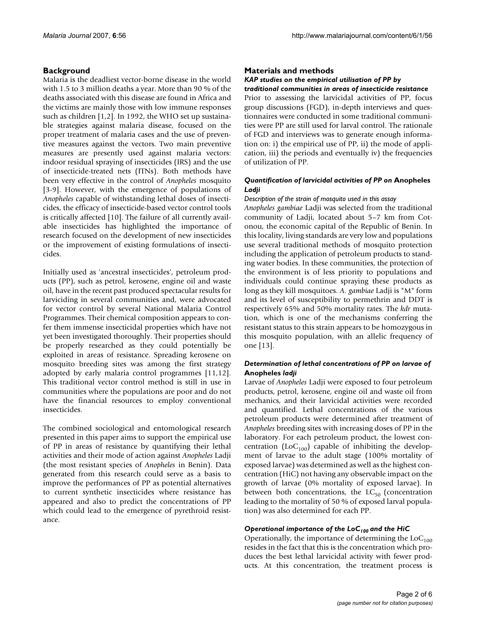# **Background**

Malaria is the deadliest vector-borne disease in the world with 1.5 to 3 million deaths a year. More than 90 % of the deaths associated with this disease are found in Africa and the victims are mainly those with low immune responses such as children [1,2]. In 1992, the WHO set up sustainable strategies against malaria disease, focused on the proper treatment of malaria cases and the use of preventive measures against the vectors. Two main preventive measures are presently used against malaria vectors: indoor residual spraying of insecticides (IRS) and the use of insecticide-treated nets (ITNs). Both methods have been very effective in the control of *Anopheles* mosquito [3-9]. However, with the emergence of populations of *Anopheles* capable of withstanding lethal doses of insecticides, the efficacy of insecticide-based vector control tools is critically affected [10]. The failure of all currently available insecticides has highlighted the importance of research focused on the development of new insecticides or the improvement of existing formulations of insecticides.

Initially used as 'ancestral insecticides', petroleum products (PP), such as petrol, kerosene, engine oil and waste oil, have in the recent past produced spectacular results for larviciding in several communities and, were advocated for vector control by several National Malaria Control Programmes. Their chemical composition appears to confer them immense insecticidal properties which have not yet been investigated thoroughly. Their properties should be properly researched as they could potentially be exploited in areas of resistance. Spreading kerosene on mosquito breeding sites was among the first strategy adopted by early malaria control programmes [[11,](#page-5-0)12]. This traditional vector control method is still in use in communities where the populations are poor and do not have the financial resources to employ conventional insecticides.

The combined sociological and entomological research presented in this paper aims to support the empirical use of PP in areas of resistance by quantifying their lethal activities and their mode of action against *Anopheles* Ladji (the most resistant species of *Anopheles* in Benin). Data generated from this research could serve as a basis to improve the performances of PP as potential alternatives to current synthetic insecticides where resistance has appeared and also to predict the concentrations of PP which could lead to the emergence of pyrethroid resistance.

# **Materials and methods**

# *KAP studies on the empirical utilisation of PP by*

*traditional communities in areas of insecticide resistance* Prior to assessing the larvicidal activities of PP, focus group discussions (FGD), in-depth interviews and questionnaires were conducted in some traditional communities were PP are still used for larval control. The rationale of FGD and interviews was to generate enough information on: i) the empirical use of PP, ii) the mode of application, iii) the periods and eventually iv) the frequencies of utilization of PP.

# *Quantification of larvicidal activities of PP on* **Anopheles**  *Ladji*

*Description of the strain of mosquito used in this assay Anopheles gambiae* Ladji was selected from the traditional community of Ladji, located about 5–7 km from Cotonou, the economic capital of the Republic of Benin. In this locality, living standards are very low and populations use several traditional methods of mosquito protection including the application of petroleum products to standing water bodies. In these communities, the protection of the environment is of less priority to populations and individuals could continue spraying these products as long as they kill mosquitoes. *A. gambiae* Ladji is "M" form and its level of susceptibility to permethrin and DDT is respectively 65% and 50% mortality rates. The *kdr* mutation, which is one of the mechanisms conferring the resistant status to this strain appears to be homozygous in this mosquito population, with an allelic frequency of one [13].

# *Determination of lethal concentrations of PP on larvae of*  **Anopheles** *ladji*

Larvae of *Anopheles* Ladji were exposed to four petroleum products, petrol, kerosene, engine oil and waste oil from mechanics, and their larvicidal activities were recorded and quantified. Lethal concentrations of the various petroleum products were determined after treatment of *Anopheles* breeding sites with increasing doses of PP in the laboratory. For each petroleum product, the lowest concentration (LoC<sub>100</sub>) capable of inhibiting the development of larvae to the adult stage (100% mortality of exposed larvae) was determined as well as the highest concentration (HiC) not having any observable impact on the growth of larvae (0% mortality of exposed larvae). In between both concentrations, the  $LC_{50}$  (concentration leading to the mortality of 50 % of exposed larval population) was also determined for each PP.

# *Operational importance of the LoC100 and the HiC*

Operationally, the importance of determining the  $\text{LoC}_{100}$ resides in the fact that this is the concentration which produces the best lethal larvicidal activity with fewer products. At this concentration, the treatment process is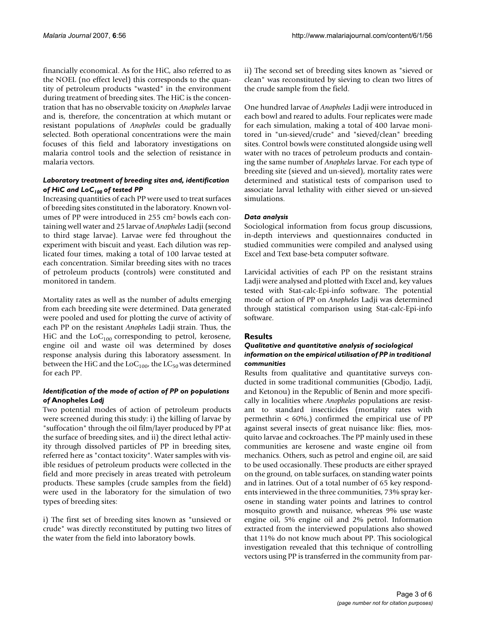financially economical. As for the HiC, also referred to as the NOEL (no effect level) this corresponds to the quantity of petroleum products "wasted" in the environment during treatment of breeding sites. The HiC is the concentration that has no observable toxicity on *Anopheles* larvae and is, therefore, the concentration at which mutant or resistant populations of *Anopheles* could be gradually selected. Both operational concentrations were the main focuses of this field and laboratory investigations on malaria control tools and the selection of resistance in malaria vectors.

# *Laboratory treatment of breeding sites and, identification of HiC and LoC100 of tested PP*

Increasing quantities of each PP were used to treat surfaces of breeding sites constituted in the laboratory. Known volumes of PP were introduced in 255 cm2 bowls each containing well water and 25 larvae of *Anopheles* Ladji (second to third stage larvae). Larvae were fed throughout the experiment with biscuit and yeast. Each dilution was replicated four times, making a total of 100 larvae tested at each concentration. Similar breeding sites with no traces of petroleum products (controls) were constituted and monitored in tandem.

Mortality rates as well as the number of adults emerging from each breeding site were determined. Data generated were pooled and used for plotting the curve of activity of each PP on the resistant *Anopheles* Ladji strain. Thus, the HiC and the  $LoC_{100}$  corresponding to petrol, kerosene, engine oil and waste oil was determined by doses response analysis during this laboratory assessment. In between the HiC and the  $LoC_{100}$ , the  $LC_{50}$  was determined for each PP.

# *Identification of the mode of action of PP on populations of* **Anopheles** *Ladj*

Two potential modes of action of petroleum products were screened during this study: i) the killing of larvae by "suffocation" through the oil film/layer produced by PP at the surface of breeding sites, and ii) the direct lethal activity through dissolved particles of PP in breeding sites, referred here as "contact toxicity". Water samples with visible residues of petroleum products were collected in the field and more precisely in areas treated with petroleum products. These samples (crude samples from the field) were used in the laboratory for the simulation of two types of breeding sites:

i) The first set of breeding sites known as "unsieved or crude" was directly reconstituted by putting two litres of the water from the field into laboratory bowls.

ii) The second set of breeding sites known as "sieved or clean" was reconstituted by sieving to clean two litres of the crude sample from the field.

One hundred larvae of *Anopheles* Ladji were introduced in each bowl and reared to adults. Four replicates were made for each simulation, making a total of 400 larvae monitored in "un-sieved/crude" and "sieved/clean" breeding sites. Control bowls were constituted alongside using well water with no traces of petroleum products and containing the same number of *Anopheles* larvae. For each type of breeding site (sieved and un-sieved), mortality rates were determined and statistical tests of comparison used to associate larval lethality with either sieved or un-sieved simulations.

# *Data analysis*

Sociological information from focus group discussions, in-depth interviews and questionnaires conducted in studied communities were compiled and analysed using Excel and Text base-beta computer software.

Larvicidal activities of each PP on the resistant strains Ladji were analysed and plotted with Excel and, key values tested with Stat-calc-Epi-info software. The potential mode of action of PP on *Anopheles* Ladji was determined through statistical comparison using Stat-calc-Epi-info software.

# **Results**

# *Qualitative and quantitative analysis of sociological information on the empirical utilisation of PP in traditional communities*

Results from qualitative and quantitative surveys conducted in some traditional communities (Gbodjo, Ladji, and Ketonou) in the Republic of Benin and more specifically in localities where *Anopheles* populations are resistant to standard insecticides (mortality rates with permethrin < 60%,) confirmed the empirical use of PP against several insects of great nuisance like: flies, mosquito larvae and cockroaches. The PP mainly used in these communities are kerosene and waste engine oil from mechanics. Others, such as petrol and engine oil, are said to be used occasionally. These products are either sprayed on the ground, on table surfaces, on standing water points and in latrines. Out of a total number of 65 key respondents interviewed in the three communities, 73% spray kerosene in standing water points and latrines to control mosquito growth and nuisance, whereas 9% use waste engine oil, 5% engine oil and 2% petrol. Information extracted from the interviewed populations also showed that 11% do not know much about PP. This sociological investigation revealed that this technique of controlling vectors using PP is transferred in the community from par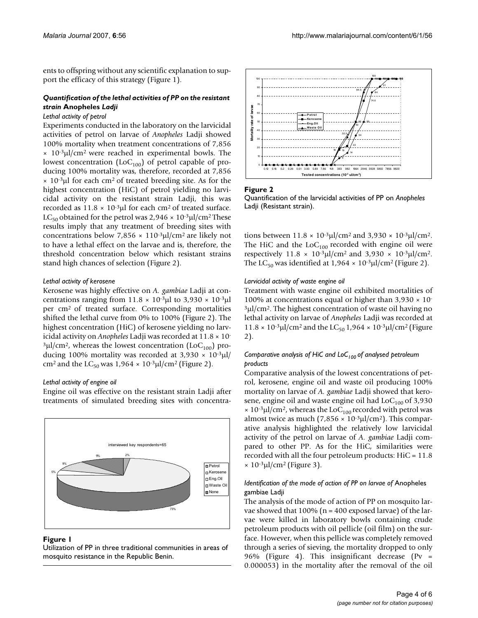ents to offspring without any scientific explanation to support the efficacy of this strategy (Figure 1).

# *Quantification of the lethal activities of PP on the resistant strain* **Anopheles** *Ladji*

#### *Lethal activity of petrol*

Experiments conducted in the laboratory on the larvicidal activities of petrol on larvae of *Anopheles* Ladji showed 100% mortality when treatment concentrations of 7,856 × 10-3μl/cm2 were reached in experimental bowls. The lowest concentration (LoC<sub>100</sub>) of petrol capable of producing 100% mortality was, therefore, recorded at 7,856  $\times$  10<sup>-3</sup>µl for each cm<sup>2</sup> of treated breeding site. As for the highest concentration (HiC) of petrol yielding no larvicidal activity on the resistant strain Ladji, this was recorded as  $11.8 \times 10^{-3}$ μl for each cm<sup>2</sup> of treated surface. LC<sub>50</sub> obtained for the petrol was  $2.946 \times 10^{-3}$ μl/cm<sup>2</sup> These results imply that any treatment of breeding sites with concentrations below  $7.856 \times 110^{-3} \mu$ /cm<sup>2</sup> are likely not to have a lethal effect on the larvae and is, therefore, the threshold concentration below which resistant strains stand high chances of selection (Figure 2).

#### *Lethal activity of kerosene*

Kerosene was highly effective on *A. gambiae* Ladji at concentrations ranging from  $11.8 \times 10^{-3}$ μl to  $3,930 \times 10^{-3}$ μl per cm2 of treated surface. Corresponding mortalities shifted the lethal curve from 0% to 100% (Figure 2). The highest concentration (HiC) of kerosene yielding no larvicidal activity on *Anopheles* Ladji was recorded at 11.8 × 10-  $3\mu$ l/cm<sup>2</sup>, whereas the lowest concentration (LoC<sub>100</sub>) producing 100% mortality was recorded at  $3,930 \times 10^{-3} \mu$ l/ cm<sup>2</sup> and the LC<sub>50</sub> was 1,964  $\times$  10<sup>-3</sup>µl/cm<sup>2</sup> (Figure 2).

#### *Lethal activity of engine oil*

Engine oil was effective on the resistant strain Ladji after treatments of simulated breeding sites with concentra-



#### **Figure I**

Utilization of PP in three traditional communities in areas of mosquito resistance in the Republic Benin.



### **Figure 2**



tions between  $11.8 \times 10^{-3} \mu$ l/cm<sup>2</sup> and  $3.930 \times 10^{-3} \mu$ l/cm<sup>2</sup>. The HiC and the  $LoC_{100}$  recorded with engine oil were respectively  $11.8 \times 10^{-3}$ μl/cm<sup>2</sup> and  $3,930 \times 10^{-3}$ μl/cm<sup>2</sup>. The LC<sub>50</sub> was identified at 1,964  $\times$  10<sup>-3</sup>µl/cm<sup>2</sup> (Figure 2).

#### *Larvicidal activity of waste engine oil*

Treatment with waste engine oil exhibited mortalities of 100% at concentrations equal or higher than  $3,930 \times 10^{-7}$  $3\mu$ l/cm<sup>2</sup>. The highest concentration of waste oil having no lethal activity on larvae of *Anopheles* Ladji was recorded at  $11.8 \times 10^{-3}$ μl/cm<sup>2</sup> and the LC<sub>50</sub> 1,964  $\times 10^{-3}$ μl/cm<sup>2</sup> (Figure 2).

# *Comparative analysis of HiC and LoC<sub>100</sub> of analysed petroleum products*

Comparative analysis of the lowest concentrations of petrol, kerosene, engine oil and waste oil producing 100% mortality on larvae of *A. gambiae* Ladji showed that kerosene, engine oil and waste engine oil had  $LoC<sub>100</sub>$  of 3,930  $\times$  10<sup>-3</sup>µl/cm<sup>2</sup>, whereas the LoC<sub>100</sub> recorded with petrol was almost twice as much  $(7,856 \times 10^{-3} \mu l/cm^2)$ . This comparative analysis highlighted the relatively low larvicidal activity of the petrol on larvae of *A. gambiae* Ladji compared to other PP. As for the HiC, similarities were recorded with all the four petroleum products: HiC = 11.8  $\times$  10<sup>-3</sup>µl/cm<sup>2</sup> (Figure 3).

# *Identification of the mode of action of PP on larvae of Anopheles* gambiae Ladji

The analysis of the mode of action of PP on mosquito larvae showed that  $100\%$  (n = 400 exposed larvae) of the larvae were killed in laboratory bowls containing crude petroleum products with oil pellicle (oil film) on the surface. However, when this pellicle was completely removed through a series of sieving, the mortality dropped to only 96% (Figure 4). This insignificant decrease (Pv = 0.000053) in the mortality after the removal of the oil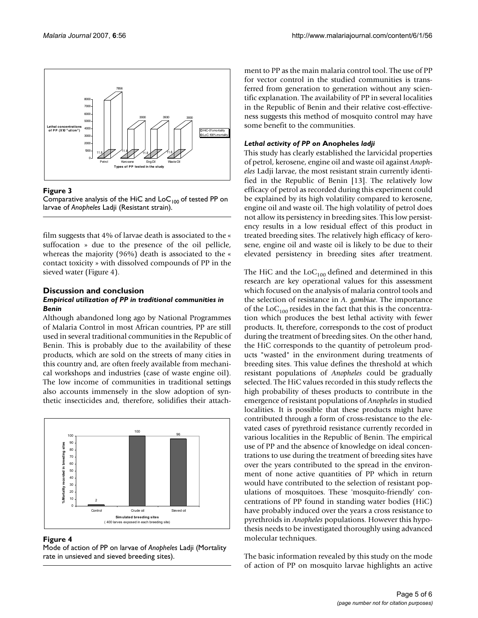

Comparative analysis of the HiC and LoC larvae of **Figure 3***Anopheles* Ladji (Resistant strain)100 of tested PP on Comparative analysis of the HiC and  $\mathsf{Loc}_{100}$  of tested PP on larvae of *Anopheles* Ladji (Resistant strain).

film suggests that 4% of larvae death is associated to the « suffocation » due to the presence of the oil pellicle, whereas the majority (96%) death is associated to the « contact toxicity » with dissolved compounds of PP in the sieved water (Figure 4).

# **Discussion and conclusion** *Empirical utilization of PP in traditional communities in Benin*

Although abandoned long ago by National Programmes of Malaria Control in most African countries, PP are still used in several traditional communities in the Republic of Benin. This is probably due to the availability of these products, which are sold on the streets of many cities in this country and, are often freely available from mechanical workshops and industries (case of waste engine oil). The low income of communities in traditional settings also accounts immensely in the slow adoption of synthetic insecticides and, therefore, solidifies their attach-



### Figure 4

Mode of action of PP on larvae of *Anopheles* Ladji (Mortality rate in unsieved and sieved breeding sites).

ment to PP as the main malaria control tool. The use of PP for vector control in the studied communities is transferred from generation to generation without any scientific explanation. The availability of PP in several localities in the Republic of Benin and their relative cost-effectiveness suggests this method of mosquito control may have some benefit to the communities.

# *Lethal activity of PP on* **Anopheles** *ladji*

This study has clearly established the larvicidal properties of petrol, kerosene, engine oil and waste oil against *Anopheles* Ladji larvae, the most resistant strain currently identified in the Republic of Benin [13]. The relatively low efficacy of petrol as recorded during this experiment could be explained by its high volatility compared to kerosene, engine oil and waste oil. The high volatility of petrol does not allow its persistency in breeding sites. This low persistency results in a low residual effect of this product in treated breeding sites. The relatively high efficacy of kerosene, engine oil and waste oil is likely to be due to their elevated persistency in breeding sites after treatment.

The HiC and the  $LoC_{100}$  defined and determined in this research are key operational values for this assessment which focused on the analysis of malaria control tools and the selection of resistance in *A. gambiae*. The importance of the  $LoC_{100}$  resides in the fact that this is the concentration which produces the best lethal activity with fewer products. It, therefore, corresponds to the cost of product during the treatment of breeding sites. On the other hand, the HiC corresponds to the quantity of petroleum products "wasted" in the environment during treatments of breeding sites. This value defines the threshold at which resistant populations of *Anopheles* could be gradually selected. The HiC values recorded in this study reflects the high probability of theses products to contribute in the emergence of resistant populations of *Anopheles* in studied localities. It is possible that these products might have contributed through a form of cross-resistance to the elevated cases of pyrethroid resistance currently recorded in various localities in the Republic of Benin. The empirical use of PP and the absence of knowledge on ideal concentrations to use during the treatment of breeding sites have over the years contributed to the spread in the environment of none active quantities of PP which in return would have contributed to the selection of resistant populations of mosquitoes. These 'mosquito-friendly' concentrations of PP found in standing water bodies (HiC) have probably induced over the years a cross resistance to pyrethroids in *Anopheles* populations. However this hypothesis needs to be investigated thoroughly using advanced molecular techniques.

The basic information revealed by this study on the mode of action of PP on mosquito larvae highlights an active